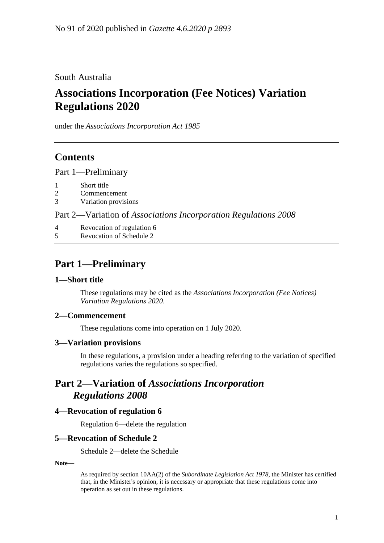South Australia

# **Associations Incorporation (Fee Notices) Variation Regulations 2020**

under the *Associations Incorporation Act 1985*

### **Contents**

Part [1—Preliminary](#page-0-0)

- 1 [Short title](#page-0-1)
- 2 [Commencement](#page-0-2)
- 3 [Variation provisions](#page-0-3)

Part 2—Variation of *[Associations Incorporation Regulations](#page-0-4) 2008*

- 4 [Revocation of regulation 6](#page-0-5)
- 5 [Revocation of Schedule 2](#page-0-6)

### <span id="page-0-0"></span>**Part 1—Preliminary**

#### <span id="page-0-1"></span>**1—Short title**

These regulations may be cited as the *Associations Incorporation (Fee Notices) Variation Regulations 2020*.

#### <span id="page-0-2"></span>**2—Commencement**

These regulations come into operation on 1 July 2020.

#### <span id="page-0-3"></span>**3—Variation provisions**

In these regulations, a provision under a heading referring to the variation of specified regulations varies the regulations so specified.

### <span id="page-0-4"></span>**Part 2—Variation of** *Associations Incorporation Regulations 2008*

#### <span id="page-0-5"></span>**4—Revocation of regulation 6**

Regulation 6—delete the regulation

#### <span id="page-0-6"></span>**5—Revocation of Schedule 2**

Schedule 2—delete the Schedule

**Note—**

As required by section 10AA(2) of the *[Subordinate Legislation Act](http://www.legislation.sa.gov.au/index.aspx?action=legref&type=act&legtitle=Subordinate%20Legislation%20Act%201978) 1978*, the Minister has certified that, in the Minister's opinion, it is necessary or appropriate that these regulations come into operation as set out in these regulations.